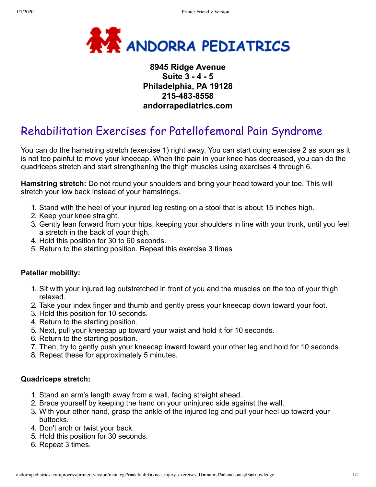

# **8945 Ridge Avenue Suite 3 - 4 - 5 Philadelphia, PA 19128 215-483-8558 andorrapediatrics.com**

# Rehabilitation Exercises for Patellofemoral Pain Syndrome

You can do the hamstring stretch (exercise 1) right away. You can start doing exercise 2 as soon as it is not too painful to move your kneecap. When the pain in your knee has decreased, you can do the quadriceps stretch and start strengthening the thigh muscles using exercises 4 through 6.

**Hamstring stretch:** Do not round your shoulders and bring your head toward your toe. This will stretch your low back instead of your hamstrings.

- 1. Stand with the heel of your injured leg resting on a stool that is about 15 inches high.
- 2. Keep your knee straight.
- 3. Gently lean forward from your hips, keeping your shoulders in line with your trunk, until you feel a stretch in the back of your thigh.
- 4. Hold this position for 30 to 60 seconds.
- 5. Return to the starting position. Repeat this exercise 3 times

#### **Patellar mobility:**

- 1. Sit with your injured leg outstretched in front of you and the muscles on the top of your thigh relaxed.
- 2. Take your index finger and thumb and gently press your kneecap down toward your foot.
- 3. Hold this position for 10 seconds.
- 4. Return to the starting position.
- 5. Next, pull your kneecap up toward your waist and hold it for 10 seconds.
- 6. Return to the starting position.
- 7. Then, try to gently push your kneecap inward toward your other leg and hold for 10 seconds.
- 8. Repeat these for approximately 5 minutes.

#### **Quadriceps stretch:**

- 1. Stand an arm's length away from a wall, facing straight ahead.
- 2. Brace yourself by keeping the hand on your uninjured side against the wall.
- 3. With your other hand, grasp the ankle of the injured leg and pull your heel up toward your buttocks.
- 4. Don't arch or twist your back.
- 5. Hold this position for 30 seconds.
- 6. Repeat 3 times.